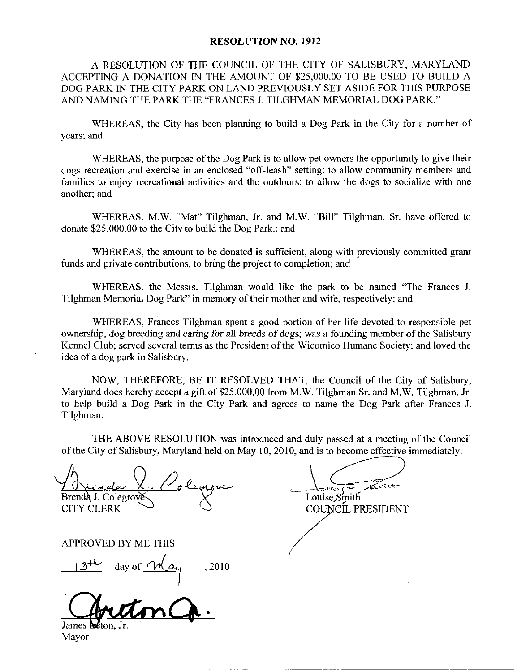## RESOLUTION NO. 1912

A RESOLUTION OF THE COUNCIL OF THE CITY OF SALISBURY MARYLAND ACCEPTING A DONATION IN THE AMOUNT OF \$25,000,00 TO BE USED TO BUILD A DOG PARK IN THE CITY PARK ON LAND PREVIOUSLY SET ASIDE FOR THIS PURPOSE AND NAMING THE PARK THE "FRANCES J. TILGHMAN MEMORIAL DOG PARK."

WHEREAS, the City has been planning to build a Dog Park in the City for a number of years; and

WHEREAS, the purpose of the Dog Park is to allow pet owners the opportunity to give their dogs recreation and exercise in an enclosed "off-leash" setting; to allow community members and families to enjoy recreational activities and the outdoors; to allow the dogs to socialize with one another; and

WHEREAS, M.W. "Mat" Tilghman, Jr. and M.W. "Bill" Tilghman, Sr. have offered to donate  $$25,000.00$  to the City to build the Dog Park : and

WHEREAS, the amount to be donated is sufficient, along with previously committed grant funds and private contributions, to bring the project to completion; and

WHEREAS, the Messrs. Tilghman would like the park to be named "The Frances J. Tilghman Memorial Dog Park" in memory of their mother and wife, respectively: and

WHEREAS, Frances Tilghman spent a good portion of her life devoted to responsible pet ownership, dog breeding and caring for all breeds of dogs; was a founding member of the Salisbury Kennel Club; served several terms as the President of the Wicomico Humane Society; and loved the idea of a dog park in Salisbury.

NOW, THEREFORE, BE IT RESOLVED THAT, the Council of the City of Salisbury, Maryland does hereby accept a gift of \$25,000.00 from M.W. Tilghman Sr. and M.W. Tilghman, Jr. to help build a Dog Park in the City Pazk and agrees to name the Dog Park after Frances J Tilghman

THE ABOVE RESOLUTION was introduced and duly passed at a meeting of the Council

of the City of Salisbury, Maryland held on May 10, 2010, and is to become effective immediately.<br>
Antenda J. Colegrove Brenda J. Colegrove Louise, Smith<br>
CITY CLERK COUNCIL PRESIDENT CITY CLERK

APPROVED BY ME THIS

Brenda J. Colegrove CITY CLERK<br>
CITY CLERK<br>
APPROVED BY ME THIS<br>  $13^{+k}$  day of  $M_{a}$ , 2010

James

Mayor

 $\pi$ Louise, Smith

COUNCIL PRESIDENT